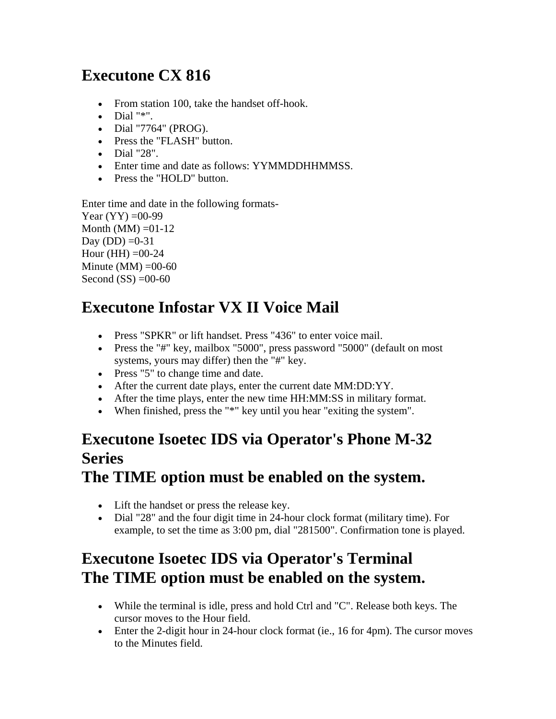# **Executone CX 816**

- From station 100, take the handset of f-hook.
- $\bullet$  Dial " $*$ ".
- Dial "7764" (PROG).
- Press the "FLASH" button.
- Dial "28".
- Enter time and date as follows: YYMMDDHHMMSS.
- Press the "HOLD" button.

Enter time and date in the following formats-

Year  $(YY) = 00-99$ Month (MM)  $=01-12$ Day (DD)  $=0-31$ Hour (HH)  $=$  00-24 Minute  $(MM) = 00-60$ Second  $(SS) =00-60$ 

# **Executone Infostar VX II Voice Mail**

- Press "SPKR" or lift handset. Press "436" to enter voice mail.
- Press the "#" key, mailbox "5000", press password "5000" (default on most systems, yours may differ) then the "#" key.
- Press "5" to change time and date.
- After the current date plays, enter the current date MM:DD:YY.
- After the time plays, enter the new time HH:MM:SS in military format.
- When finished, press the "\*" key until you hear "exiting the system".

#### **Executone Isoetec IDS via Operator's Phone M-32 Series The TIME option must be enabled on the system.**

- Lift the handset or press the release key.
	- Dial "28" and the four digit time in 24-hour clock format (military time). For example, to set the time as 3:00 pm, dial "281500". Confirmation tone is played.

# **Executone Isoetec IDS via Operator's Terminal The TIME option must be enabled on the system.**

- While the terminal is idle, press and hold Ctrl and "C". Release both keys. The cursor moves to the Hour field.
- Enter the 2-digit hour in 24-hour clock format (ie., 16 for 4pm). The cursor moves to the Minutes field.